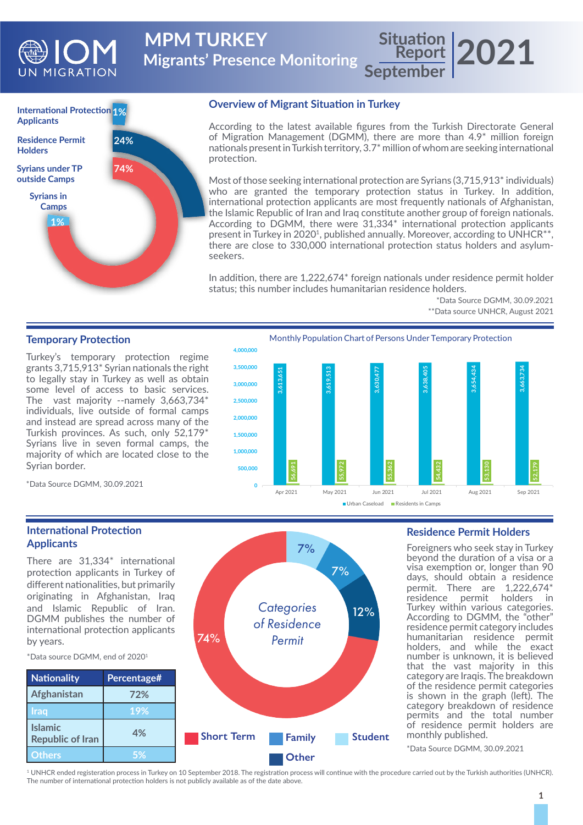

**Migrants' Presence Monitoring MPM TURKEY** 

**Report September 2021**



### **Overview of Migrant Situation in Turkey**

According to the latest available figures from the Turkish Directorate General of Migration Management (DGMM), there are more than 4.9\* million foreign nationals present in Turkish territory, 3.7\* million of whom are seeking international protection.

Most of those seeking international protection are Syrians (3,715,913<sup>\*</sup> individuals) who are granted the temporary protection status in Turkey. In addition, international protection applicants are most frequently nationals of Afghanistan, the Islamic Republic of Iran and Iraq constitute another group of foreign nationals. According to DGMM, there were 31,334\* international protection applicants present in Turkey in 2020<sup>1</sup>, published annually. Moreover, according to UNHCR<sup>\*\*</sup>, there are close to 330,000 international protection status holders and asylumseekers.

In addition, there are 1,222,674\* foreign nationals under residence permit holder status; this number includes humanitarian residence holders.

> \*Data Source DGMM, 30.09.2021 \*\*Data source UNHCR, August 2021

### **Temporary Protection**

Turkey's temporary protection regime grants 3,715,913\* Syrian nationals the right to legally stay in Turkey as well as obtain some level of access to basic services. The vast majority --namely 3,663,734\* individuals, live outside of formal camps and instead are spread across many of the Turkish provinces. As such, only 52,179\* Syrians live in seven formal camps, the majority of which are located close to the Syrian border.

Monthly Population Chart of Persons Under Temporary Protection



Urban Caseload Residents in Camps

#### **Residence Permit Holders**

Foreigners who seek stay in Turkey beyond the duration of a visa or a visa exemption or, longer than 90 days, should obtain a residence permit. There are 1,222,674\* residence permit holders in Turkey within various categories. According to DGMM, the "other" residence permit category includes humanitarian residence permit holders, and while the exact number is unknown, it is believed that the vast majority in this category are Iraqis. The breakdown of the residence permit categories is shown in the graph (left). The category breakdown of residence permits and the total number of residence permit holders are monthly published.

\*Data Source DGMM, 30.09.2021

\*Data Source DGMM, 30.09.2021

## **International Protection Applicants**

There are 31,334\* international protection applicants in Turkey of different nationalities, but primarily originating in Afghanistan, Iraq and Islamic Republic of Iran. DGMM publishes the number of international protection applicants by years.

\*Data source DGMM, end of 20201



74%

1 UNHCR ended registeration process in Turkey on 10 September 2018. The registration process will continue with the procedure carried out by the Turkish authorities (UNHCR). The number of international protection holders is not publicly available as of the date above.

*Categories of Residence Permit*

7%

7%

12%